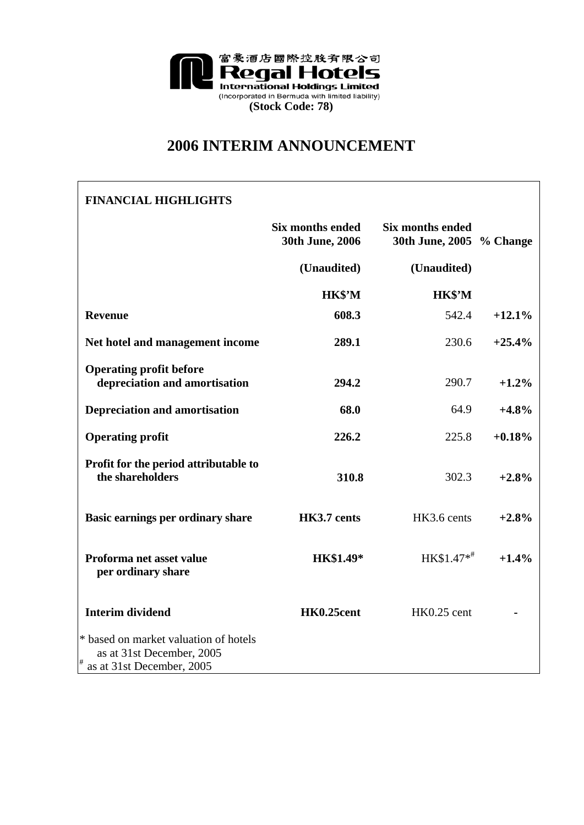

# **2006 INTERIM ANNOUNCEMENT**

# **FINANCIAL HIGHLIGHTS Six months ended 30th June, 2006 Six months ended 30th June, 2005 % Change (Unaudited) (Unaudited) HK\$'M HK\$'M Revenue 608.3** 542.4 **+12.1% Net hotel and management income 289.1** 230.6 **+25.4% Operating profit before depreciation and amortisation 294.2** 290.7 **+1.2% Depreciation and amortisation 68.0** 64.9 **+4.8% Operating profit 226.2** 225.8 **+0.18% Profit for the period attributable to the shareholders 310.8** 302.3 **+2.8% Basic earnings per ordinary share HK3.7 cents HK3.6 cents**  $+2.8\%$ **Proforma net asset value per ordinary share HK\$1.49\*** HK\$1.47\*# **+1.4% Interim dividend HK0.25 cent HK0.25 cent** \* based on market valuation of hotels as at 31st December, 2005 as at 31st December, 2005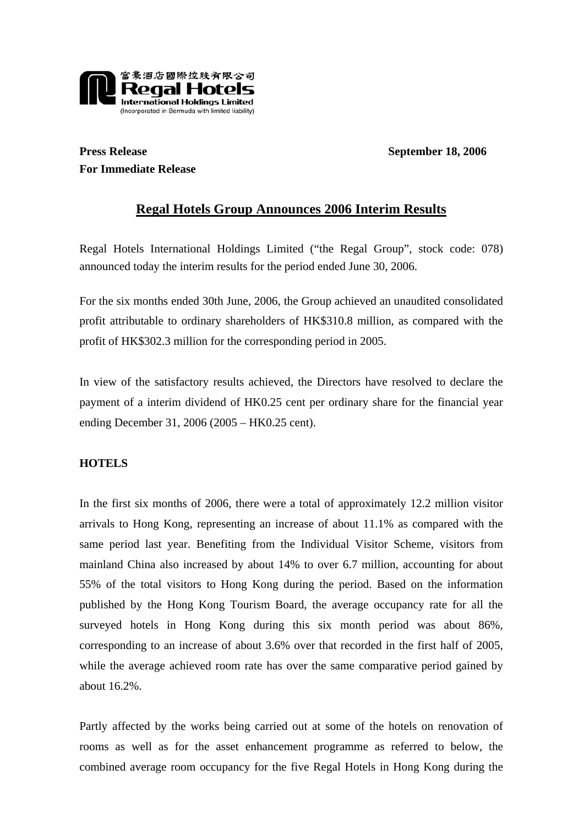

## **Press Release September 18, 2006 For Immediate Release**

## **Regal Hotels Group Announces 2006 Interim Results**

Regal Hotels International Holdings Limited ("the Regal Group", stock code: 078) announced today the interim results for the period ended June 30, 2006.

For the six months ended 30th June, 2006, the Group achieved an unaudited consolidated profit attributable to ordinary shareholders of HK\$310.8 million, as compared with the profit of HK\$302.3 million for the corresponding period in 2005.

In view of the satisfactory results achieved, the Directors have resolved to declare the payment of a interim dividend of HK0.25 cent per ordinary share for the financial year ending December 31, 2006 (2005 – HK0.25 cent).

## **HOTELS**

In the first six months of 2006, there were a total of approximately 12.2 million visitor arrivals to Hong Kong, representing an increase of about 11.1% as compared with the same period last year. Benefiting from the Individual Visitor Scheme, visitors from mainland China also increased by about 14% to over 6.7 million, accounting for about 55% of the total visitors to Hong Kong during the period. Based on the information published by the Hong Kong Tourism Board, the average occupancy rate for all the surveyed hotels in Hong Kong during this six month period was about 86%, corresponding to an increase of about 3.6% over that recorded in the first half of 2005, while the average achieved room rate has over the same comparative period gained by about 16.2%.

Partly affected by the works being carried out at some of the hotels on renovation of rooms as well as for the asset enhancement programme as referred to below, the combined average room occupancy for the five Regal Hotels in Hong Kong during the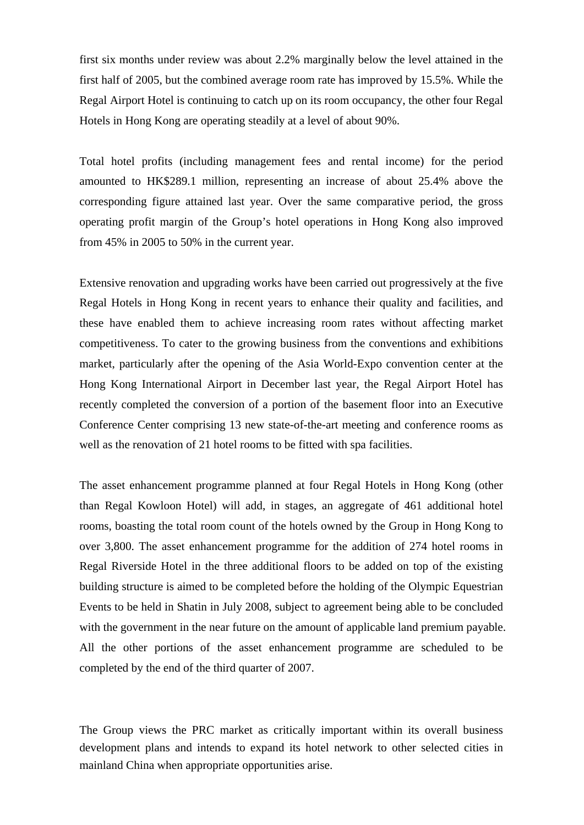first six months under review was about 2.2% marginally below the level attained in the first half of 2005, but the combined average room rate has improved by 15.5%. While the Regal Airport Hotel is continuing to catch up on its room occupancy, the other four Regal Hotels in Hong Kong are operating steadily at a level of about 90%.

Total hotel profits (including management fees and rental income) for the period amounted to HK\$289.1 million, representing an increase of about 25.4% above the corresponding figure attained last year. Over the same comparative period, the gross operating profit margin of the Group's hotel operations in Hong Kong also improved from 45% in 2005 to 50% in the current year.

Extensive renovation and upgrading works have been carried out progressively at the five Regal Hotels in Hong Kong in recent years to enhance their quality and facilities, and these have enabled them to achieve increasing room rates without affecting market competitiveness. To cater to the growing business from the conventions and exhibitions market, particularly after the opening of the Asia World-Expo convention center at the Hong Kong International Airport in December last year, the Regal Airport Hotel has recently completed the conversion of a portion of the basement floor into an Executive Conference Center comprising 13 new state-of-the-art meeting and conference rooms as well as the renovation of 21 hotel rooms to be fitted with spa facilities.

The asset enhancement programme planned at four Regal Hotels in Hong Kong (other than Regal Kowloon Hotel) will add, in stages, an aggregate of 461 additional hotel rooms, boasting the total room count of the hotels owned by the Group in Hong Kong to over 3,800. The asset enhancement programme for the addition of 274 hotel rooms in Regal Riverside Hotel in the three additional floors to be added on top of the existing building structure is aimed to be completed before the holding of the Olympic Equestrian Events to be held in Shatin in July 2008, subject to agreement being able to be concluded with the government in the near future on the amount of applicable land premium payable. All the other portions of the asset enhancement programme are scheduled to be completed by the end of the third quarter of 2007.

The Group views the PRC market as critically important within its overall business development plans and intends to expand its hotel network to other selected cities in mainland China when appropriate opportunities arise.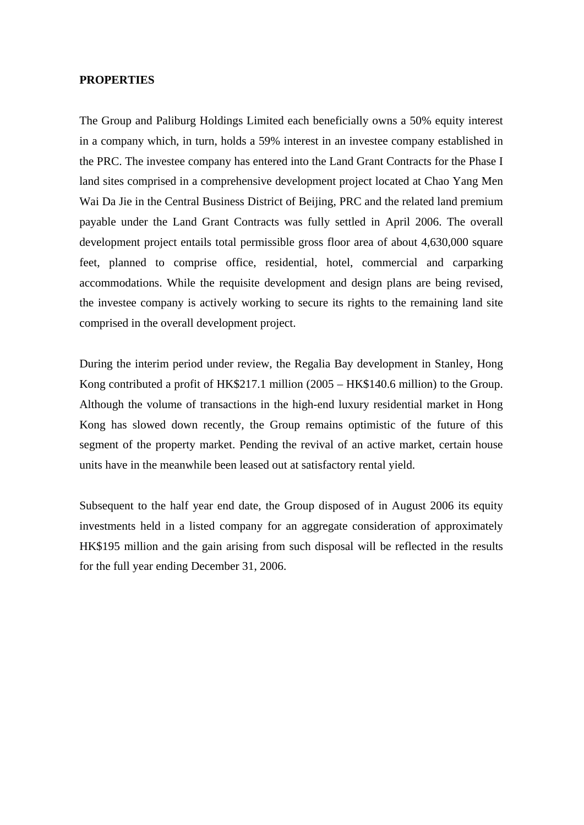#### **PROPERTIES**

The Group and Paliburg Holdings Limited each beneficially owns a 50% equity interest in a company which, in turn, holds a 59% interest in an investee company established in the PRC. The investee company has entered into the Land Grant Contracts for the Phase I land sites comprised in a comprehensive development project located at Chao Yang Men Wai Da Jie in the Central Business District of Beijing, PRC and the related land premium payable under the Land Grant Contracts was fully settled in April 2006. The overall development project entails total permissible gross floor area of about 4,630,000 square feet, planned to comprise office, residential, hotel, commercial and carparking accommodations. While the requisite development and design plans are being revised, the investee company is actively working to secure its rights to the remaining land site comprised in the overall development project.

During the interim period under review, the Regalia Bay development in Stanley, Hong Kong contributed a profit of HK\$217.1 million (2005 – HK\$140.6 million) to the Group. Although the volume of transactions in the high-end luxury residential market in Hong Kong has slowed down recently, the Group remains optimistic of the future of this segment of the property market. Pending the revival of an active market, certain house units have in the meanwhile been leased out at satisfactory rental yield.

Subsequent to the half year end date, the Group disposed of in August 2006 its equity investments held in a listed company for an aggregate consideration of approximately HK\$195 million and the gain arising from such disposal will be reflected in the results for the full year ending December 31, 2006.